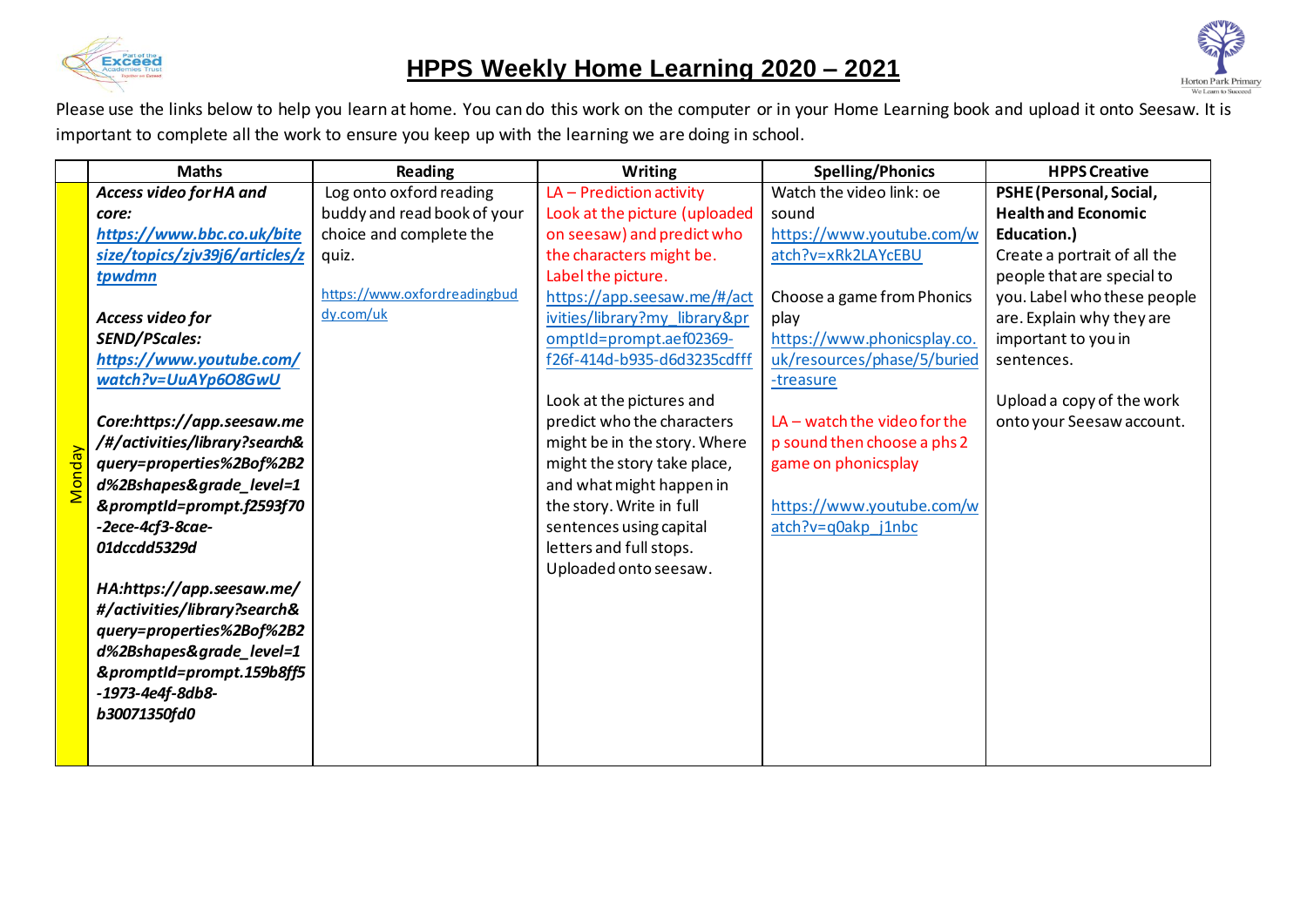

## **HPPS Weekly Home Learning 2020 – 2021**



|               | <b>Maths</b>                   | Reading                      | Writing                       | <b>Spelling/Phonics</b>        | <b>HPPS Creative</b>         |
|---------------|--------------------------------|------------------------------|-------------------------------|--------------------------------|------------------------------|
|               | Access video for HA and        | Log onto oxford reading      | LA - Prediction activity      | Watch the video link: oe       | PSHE (Personal, Social,      |
|               | core:                          | buddy and read book of your  | Look at the picture (uploaded | sound                          | <b>Health and Economic</b>   |
|               | https://www.bbc.co.uk/bite     | choice and complete the      | on seesaw) and predict who    | https://www.youtube.com/w      | Education.)                  |
|               | size/topics/zjv39j6/articles/z | quiz.                        | the characters might be.      | atch?v=xRk2LAYcEBU             | Create a portrait of all the |
|               | tpwdmn                         |                              | Label the picture.            |                                | people that are special to   |
|               |                                | https://www.oxfordreadingbud | https://app.seesaw.me/#/act   | Choose a game from Phonics     | you. Label who these people  |
|               | Access video for               | dy.com/uk                    | ivities/library?my_library≺   | play                           | are. Explain why they are    |
|               | <b>SEND/PScales:</b>           |                              | omptld=prompt.aef02369-       | https://www.phonicsplay.co.    | important to you in          |
|               | https://www.youtube.com/       |                              | f26f-414d-b935-d6d3235cdfff   | uk/resources/phase/5/buried    | sentences.                   |
|               | watch?v=UuAYp6O8GwU            |                              |                               | -treasure                      |                              |
|               |                                |                              | Look at the pictures and      |                                | Upload a copy of the work    |
|               | Core:https://app.seesaw.me     |                              | predict who the characters    | $LA$ – watch the video for the | onto your Seesaw account.    |
|               | /#/activities/library?search&  |                              | might be in the story. Where  | p sound then choose a phs 2    |                              |
|               | query=properties%2Bof%2B2      |                              | might the story take place,   | game on phonicsplay            |                              |
| <b>Monday</b> | d%2Bshapes&grade_level=1       |                              | and what might happen in      |                                |                              |
|               | &promptId=prompt.f2593f70      |                              | the story. Write in full      | https://www.youtube.com/w      |                              |
|               | $-2$ ece $-4$ cf $3$ -8cae $-$ |                              | sentences using capital       | atch?v=q0akp j1nbc             |                              |
|               | 01dccdd5329d                   |                              | letters and full stops.       |                                |                              |
|               |                                |                              | Uploaded onto seesaw.         |                                |                              |
|               | HA:https://app.seesaw.me/      |                              |                               |                                |                              |
|               | #/activities/library?search&   |                              |                               |                                |                              |
|               | query=properties%2Bof%2B2      |                              |                               |                                |                              |
|               | d%2Bshapes&grade_level=1       |                              |                               |                                |                              |
|               | &promptId=prompt.159b8ff5      |                              |                               |                                |                              |
|               | -1973-4e4f-8db8-               |                              |                               |                                |                              |
|               | b30071350fd0                   |                              |                               |                                |                              |
|               |                                |                              |                               |                                |                              |
|               |                                |                              |                               |                                |                              |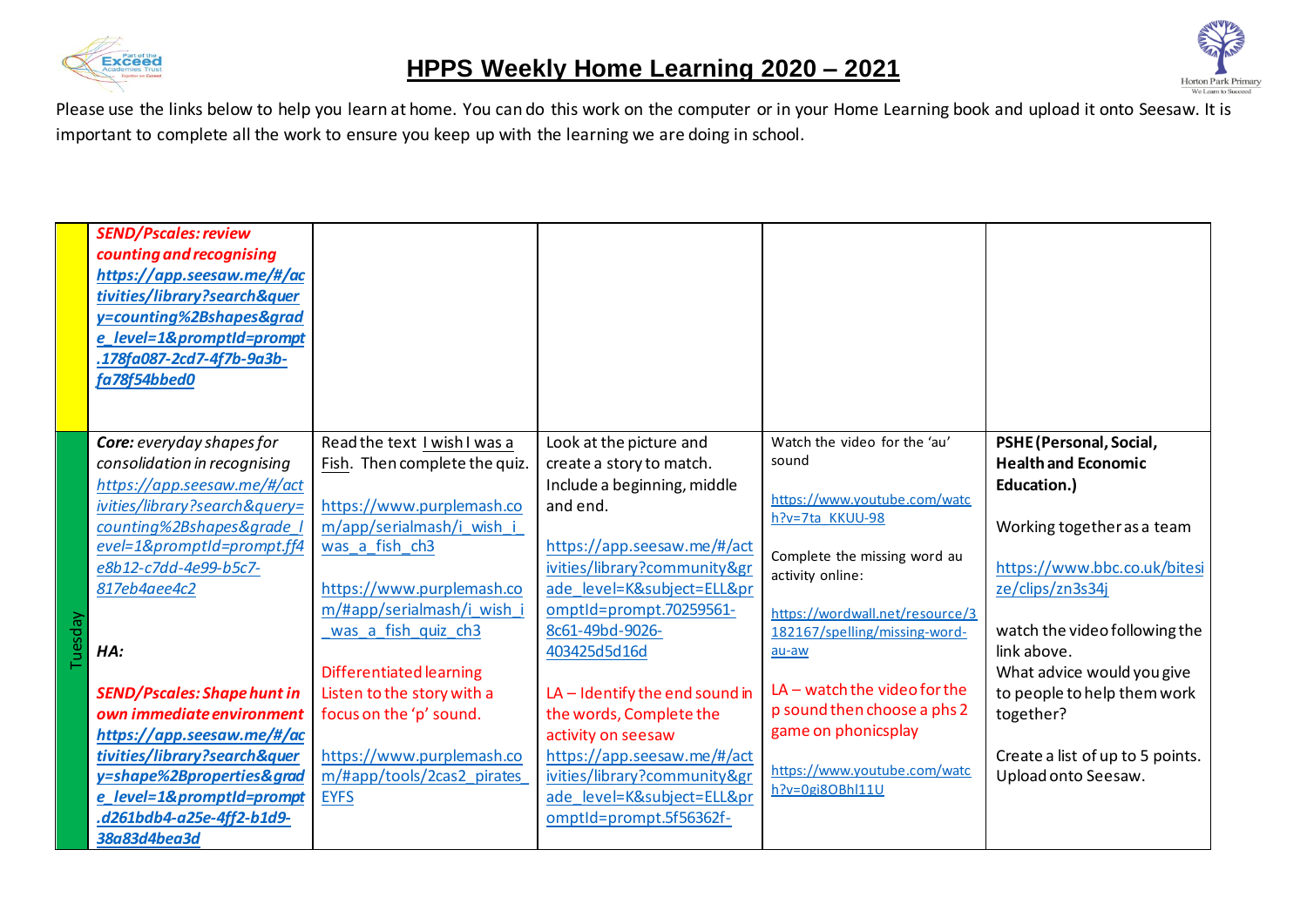



|         | <b>SEND/Pscales: review</b><br>counting and recognising<br>https://app.seesaw.me/#/ac<br>tivities/library?search&quer<br>y=counting%2Bshapes&grad<br>e_level=1&promptId=prompt<br>.178fa087-2cd7-4f7b-9a3b-<br>fa78f54bbed0                                                                                                                                                                                                                                                |                                                                                                                                                                                                                                                                                                                                                                                                |                                                                                                                                                                                                                                                                                                                                                                                                                                                                    |                                                                                                                                                                                                                                                                                                                                                                      |                                                                                                                                                                                                                                                                                                                                             |
|---------|----------------------------------------------------------------------------------------------------------------------------------------------------------------------------------------------------------------------------------------------------------------------------------------------------------------------------------------------------------------------------------------------------------------------------------------------------------------------------|------------------------------------------------------------------------------------------------------------------------------------------------------------------------------------------------------------------------------------------------------------------------------------------------------------------------------------------------------------------------------------------------|--------------------------------------------------------------------------------------------------------------------------------------------------------------------------------------------------------------------------------------------------------------------------------------------------------------------------------------------------------------------------------------------------------------------------------------------------------------------|----------------------------------------------------------------------------------------------------------------------------------------------------------------------------------------------------------------------------------------------------------------------------------------------------------------------------------------------------------------------|---------------------------------------------------------------------------------------------------------------------------------------------------------------------------------------------------------------------------------------------------------------------------------------------------------------------------------------------|
| Tuesday | Core: everyday shapes for<br>consolidation in recognising<br>https://app.seesaw.me/#/act<br>ivities/library?search&query=<br>counting%2Bshapes&grade<br>evel=1&promptId=prompt.ff4<br>e8b12-c7dd-4e99-b5c7-<br>817eb4aee4c2<br>HA:<br><b>SEND/Pscales: Shape hunt in</b><br>own immediate environment<br>https://app.seesaw.me/#/ac<br>tivities/library?search&quer<br>y=shape%2Bproperties&grad<br>e_level=1&promptId=prompt<br>.d261bdb4-a25e-4ff2-b1d9-<br>38a83d4bea3d | Read the text I wish I was a<br>Fish. Then complete the quiz.<br>https://www.purplemash.co<br>m/app/serialmash/i wish i<br>was a fish ch3<br>https://www.purplemash.co<br>m/#app/serialmash/i wish<br>was a fish quiz ch3<br><b>Differentiated learning</b><br>Listen to the story with a<br>focus on the 'p' sound.<br>https://www.purplemash.co<br>m/#app/tools/2cas2 pirates<br><b>EYFS</b> | Look at the picture and<br>create a story to match.<br>Include a beginning, middle<br>and end.<br>https://app.seesaw.me/#/act<br>ivities/library?community&gr<br>ade level=K&subject=ELL≺<br>omptld=prompt.70259561-<br>8c61-49bd-9026-<br>403425d5d16d<br>$LA$ – Identify the end sound in<br>the words, Complete the<br>activity on seesaw<br>https://app.seesaw.me/#/act<br>ivities/library?community&gr<br>ade level=K&subject=ELL≺<br>omptId=prompt.5f56362f- | Watch the video for the 'au'<br>sound<br>https://www.youtube.com/watc<br>h?v=7ta KKUU-98<br>Complete the missing word au<br>activity online:<br>https://wordwall.net/resource/3<br>182167/spelling/missing-word-<br>au-aw<br>$LA$ – watch the video for the<br>p sound then choose a phs 2<br>game on phonicsplay<br>https://www.youtube.com/watc<br>h?v=0gi8OBhl11U | PSHE (Personal, Social,<br><b>Health and Economic</b><br>Education.)<br>Working together as a team<br>https://www.bbc.co.uk/bitesi<br>ze/clips/zn3s34j<br>watch the video following the<br>link above.<br>What advice would you give<br>to people to help them work<br>together?<br>Create a list of up to 5 points.<br>Upload onto Seesaw. |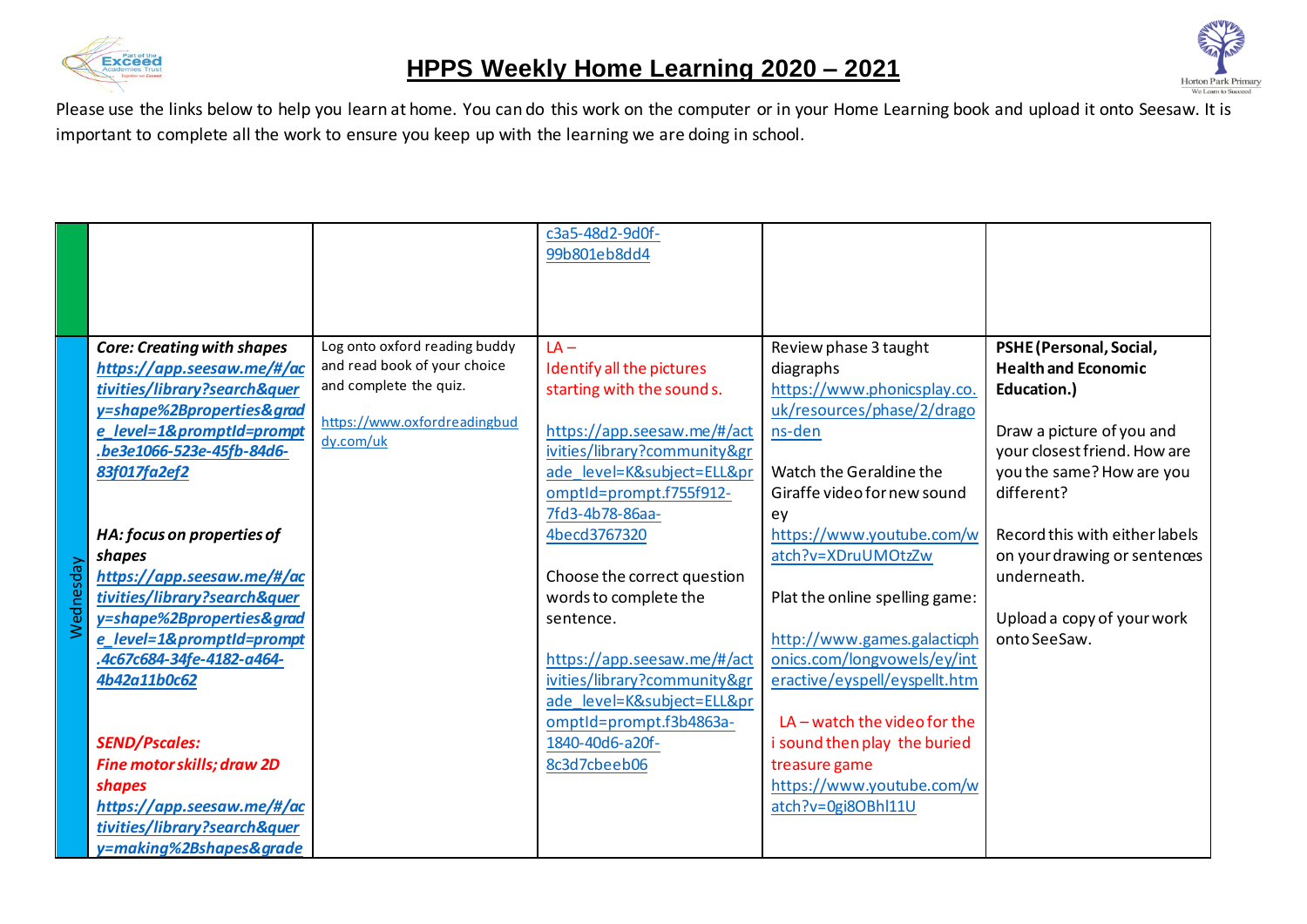



|           |                                   |                                           | c3a5-48d2-9d0f-<br>99b801eb8dd4 |                                |                                |
|-----------|-----------------------------------|-------------------------------------------|---------------------------------|--------------------------------|--------------------------------|
|           |                                   |                                           |                                 |                                |                                |
|           |                                   |                                           |                                 |                                |                                |
|           | <b>Core: Creating with shapes</b> | Log onto oxford reading buddy             | $LA -$                          | Review phase 3 taught          | PSHE (Personal, Social,        |
|           | https://app.seesaw.me/#/ac        | and read book of your choice              | Identify all the pictures       | diagraphs                      | <b>Health and Economic</b>     |
|           | tivities/library?search&quer      | and complete the quiz.                    | starting with the sound s.      | https://www.phonicsplay.co.    | Education.)                    |
|           | y=shape%2Bproperties&grad         |                                           |                                 | uk/resources/phase/2/drago     |                                |
|           | e_level=1&promptId=prompt         | https://www.oxfordreadingbud<br>dy.com/uk | https://app.seesaw.me/#/act     | ns-den                         | Draw a picture of you and      |
|           | .be3e1066-523e-45fb-84d6-         |                                           | ivities/library?community&gr    |                                | your closest friend. How are   |
|           | 83f017fa2ef2                      |                                           | ade level=K&subject=ELL≺        | Watch the Geraldine the        | you the same? How are you      |
|           |                                   |                                           | omptId=prompt.f755f912-         | Giraffe video for new sound    | different?                     |
|           |                                   |                                           | 7fd3-4b78-86aa-                 | ey                             |                                |
|           | HA: focus on properties of        |                                           | 4becd3767320                    | https://www.youtube.com/w      | Record this with either labels |
|           | shapes                            |                                           |                                 | atch?v=XDruUMOtzZw             | on your drawing or sentences   |
| Wednesday | https://app.seesaw.me/#/ac        |                                           | Choose the correct question     |                                | underneath.                    |
|           | tivities/library?search&quer      |                                           | words to complete the           | Plat the online spelling game: |                                |
|           | y=shape%2Bproperties&grad         |                                           | sentence.                       |                                | Upload a copy of your work     |
|           | e level=1&promptId=prompt         |                                           |                                 | http://www.games.galacticph    | onto SeeSaw.                   |
|           | .4c67c684-34fe-4182-a464-         |                                           | https://app.seesaw.me/#/act     | onics.com/longvowels/ey/int    |                                |
|           | 4b42a11b0c62                      |                                           | ivities/library?community&gr    | eractive/eyspell/eyspellt.htm  |                                |
|           |                                   |                                           | ade level=K&subject=ELL≺        |                                |                                |
|           |                                   |                                           | omptld=prompt.f3b4863a-         | $LA$ – watch the video for the |                                |
|           | <b>SEND/Pscales:</b>              |                                           | 1840-40d6-a20f-                 | i sound then play the buried   |                                |
|           | <b>Fine motor skills; draw 2D</b> |                                           | 8c3d7cbeeb06                    | treasure game                  |                                |
|           | shapes                            |                                           |                                 | https://www.youtube.com/w      |                                |
|           | https://app.seesaw.me/#/ac        |                                           |                                 | atch?v=0gi8OBhl11U             |                                |
|           | tivities/library?search&quer      |                                           |                                 |                                |                                |
|           | y=making%2Bshapes&grade           |                                           |                                 |                                |                                |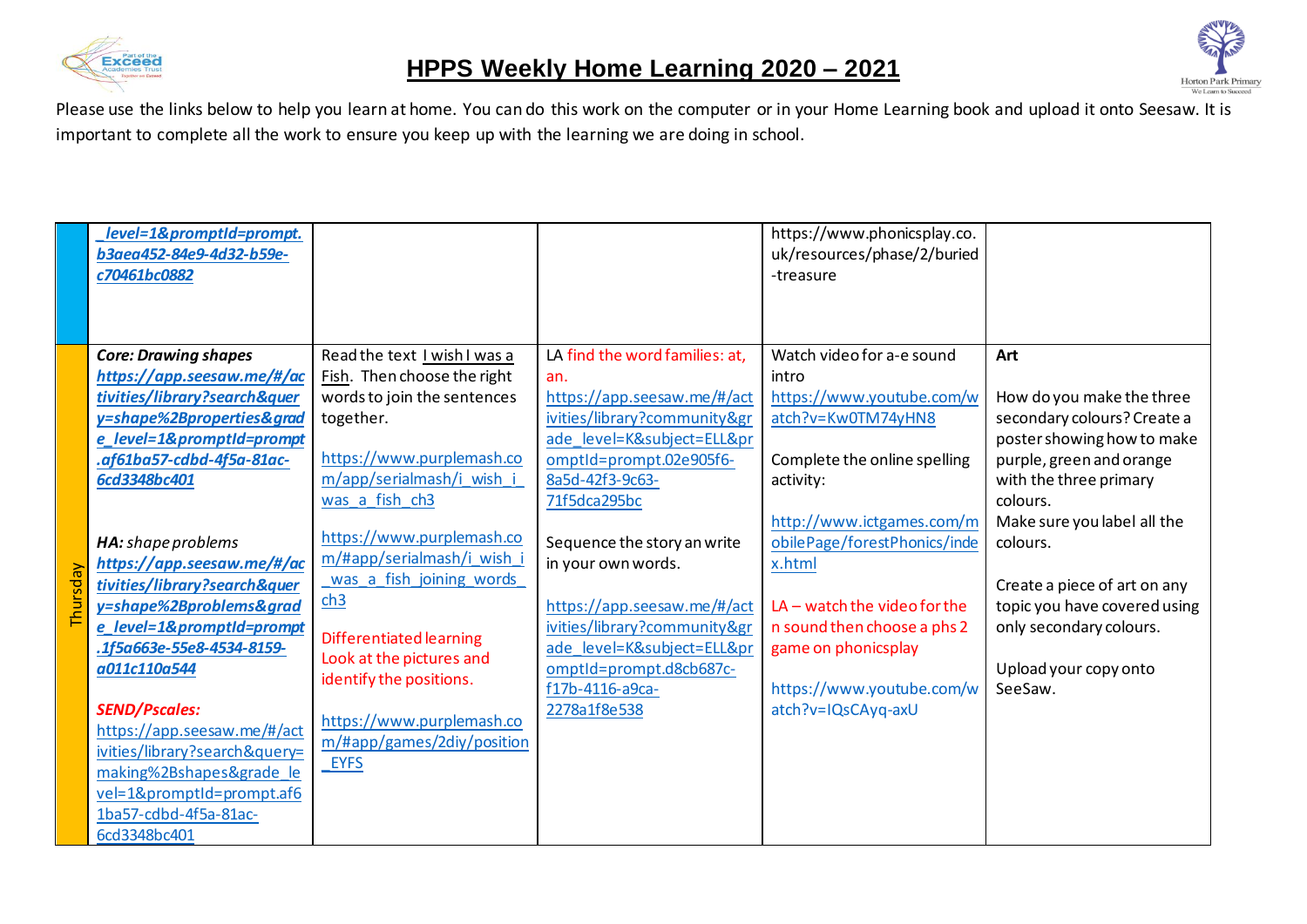



|          | level=1&promptId=prompt.<br>b3aea452-84e9-4d32-b59e-<br>c70461bc0882                                                                                                                                                                                                                                                                                                                                                                                                                                                                                                                |                                                                                                                                                                                                                                                                                                                                                                                                                                               |                                                                                                                                                                                                                                                                                                                                                                                                              | https://www.phonicsplay.co.<br>uk/resources/phase/2/buried<br>-treasure                                                                                                                                                                                                                                                                              |                                                                                                                                                                                                                                                                                                                                           |
|----------|-------------------------------------------------------------------------------------------------------------------------------------------------------------------------------------------------------------------------------------------------------------------------------------------------------------------------------------------------------------------------------------------------------------------------------------------------------------------------------------------------------------------------------------------------------------------------------------|-----------------------------------------------------------------------------------------------------------------------------------------------------------------------------------------------------------------------------------------------------------------------------------------------------------------------------------------------------------------------------------------------------------------------------------------------|--------------------------------------------------------------------------------------------------------------------------------------------------------------------------------------------------------------------------------------------------------------------------------------------------------------------------------------------------------------------------------------------------------------|------------------------------------------------------------------------------------------------------------------------------------------------------------------------------------------------------------------------------------------------------------------------------------------------------------------------------------------------------|-------------------------------------------------------------------------------------------------------------------------------------------------------------------------------------------------------------------------------------------------------------------------------------------------------------------------------------------|
| Thursdav | <b>Core: Drawing shapes</b><br>https://app.seesaw.me/#/ac<br>tivities/library?search&quer<br>y=shape%2Bproperties&grad<br>e_level=1&promptId=prompt<br>.af61ba57-cdbd-4f5a-81ac-<br>6cd3348bc401<br>HA: shape problems<br>https://app.seesaw.me/#/ac<br>tivities/library?search&quer<br>y=shape%2Bproblems&grad<br>e_level=1&promptId=prompt<br>.1f5a663e-55e8-4534-8159-<br>a011c110a544<br><b>SEND/Pscales:</b><br>https://app.seesaw.me/#/act<br>ivities/library?search&query=<br>making%2Bshapes&grade_le<br>vel=1&promptId=prompt.af6<br>1ba57-cdbd-4f5a-81ac-<br>6cd3348bc401 | Read the text I wish I was a<br>Fish. Then choose the right<br>words to join the sentences<br>together.<br>https://www.purplemash.co<br>m/app/serialmash/i_wish_i<br>was a fish ch3<br>https://www.purplemash.co<br>m/#app/serialmash/i wish i<br>was a fish joining words<br>ch3<br>Differentiated learning<br>Look at the pictures and<br>identify the positions.<br>https://www.purplemash.co<br>m/#app/games/2diy/position<br><b>EYFS</b> | LA find the word families: at,<br>an.<br>https://app.seesaw.me/#/act<br>ivities/library?community&gr<br>ade level=K&subject=ELL≺<br>omptId=prompt.02e905f6-<br>8a5d-42f3-9c63-<br>71f5dca295bc<br>Sequence the story an write<br>in your own words.<br>https://app.seesaw.me/#/act<br>ivities/library?community&gr<br>ade level=K&subject=ELL≺<br>omptId=prompt.d8cb687c-<br>f17b-4116-a9ca-<br>2278a1f8e538 | Watch video for a-e sound<br>intro<br>https://www.youtube.com/w<br>atch?v=Kw0TM74yHN8<br>Complete the online spelling<br>activity:<br>http://www.ictgames.com/m<br>obilePage/forestPhonics/inde<br>x.html<br>$LA$ – watch the video for the<br>n sound then choose a phs 2<br>game on phonicsplay<br>https://www.youtube.com/w<br>atch?v=IQsCAyq-axU | Art<br>How do you make the three<br>secondary colours? Create a<br>poster showing how to make<br>purple, green and orange<br>with the three primary<br>colours.<br>Make sure you label all the<br>colours.<br>Create a piece of art on any<br>topic you have covered using<br>only secondary colours.<br>Upload your copy onto<br>SeeSaw. |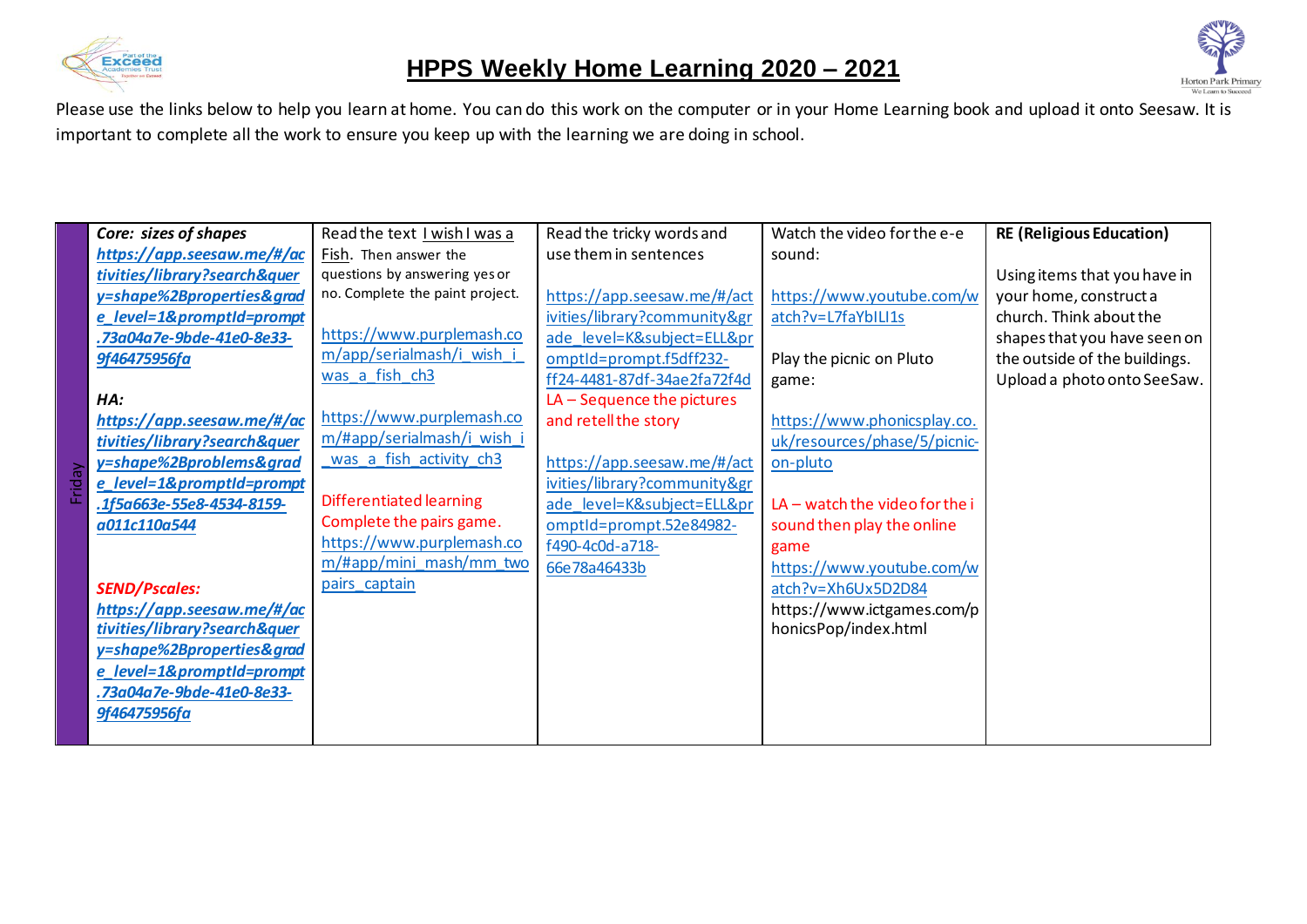



|   | Core: sizes of shapes        | Read the text I wish I was a    | Read the tricky words and    | Watch the video for the e-e    | <b>RE (Religious Education)</b> |
|---|------------------------------|---------------------------------|------------------------------|--------------------------------|---------------------------------|
|   | https://app.seesaw.me/#/ac   | Fish. Then answer the           | use them in sentences        | sound:                         |                                 |
|   | tivities/library?search&quer | questions by answering yes or   |                              |                                | Using items that you have in    |
|   | y=shape%2Bproperties&grad    | no. Complete the paint project. | https://app.seesaw.me/#/act  | https://www.youtube.com/w      | your home, construct a          |
|   | e_level=1&promptId=prompt    |                                 | ivities/library?community&gr | atch?v=L7faYbILI1s             | church. Think about the         |
|   | .73a04a7e-9bde-41e0-8e33-    | https://www.purplemash.co       | ade level=K&subject=ELL≺     |                                | shapes that you have seen on    |
|   | 9f46475956fa                 | m/app/serialmash/i wish         | omptId=prompt.f5dff232-      | Play the picnic on Pluto       | the outside of the buildings.   |
|   |                              | was a fish ch3                  | ff24-4481-87df-34ae2fa72f4d  | game:                          | Upload a photo onto SeeSaw.     |
|   | HA:                          |                                 | $LA - Sequence$ the pictures |                                |                                 |
|   | https://app.seesaw.me/#/ac   | https://www.purplemash.co       | and retell the story         | https://www.phonicsplay.co.    |                                 |
|   | tivities/library?search&quer | m/#app/serialmash/i wish i      |                              | uk/resources/phase/5/picnic-   |                                 |
|   | y=shape%2Bproblems&grad      | was a fish activity ch3         | https://app.seesaw.me/#/act  | on-pluto                       |                                 |
| ರ | e_level=1&promptId=prompt    |                                 | ivities/library?community&gr |                                |                                 |
|   | .1f5a663e-55e8-4534-8159-    | Differentiated learning         | ade level=K&subject=ELL≺     | LA - watch the video for the i |                                 |
|   | a011c110a544                 | Complete the pairs game.        | omptId=prompt.52e84982-      | sound then play the online     |                                 |
|   |                              | https://www.purplemash.co       | f490-4c0d-a718-              | game                           |                                 |
|   |                              | m/#app/mini_mash/mm_two         | 66e78a46433b                 | https://www.youtube.com/w      |                                 |
|   | <b>SEND/Pscales:</b>         | pairs captain                   |                              | atch?v=Xh6Ux5D2D84             |                                 |
|   | https://app.seesaw.me/#/ac   |                                 |                              | https://www.ictgames.com/p     |                                 |
|   | tivities/library?search&quer |                                 |                              | honicsPop/index.html           |                                 |
|   | y=shape%2Bproperties&grad    |                                 |                              |                                |                                 |
|   | e_level=1&promptId=prompt    |                                 |                              |                                |                                 |
|   | .73a04a7e-9bde-41e0-8e33-    |                                 |                              |                                |                                 |
|   | 9f46475956fa                 |                                 |                              |                                |                                 |
|   |                              |                                 |                              |                                |                                 |